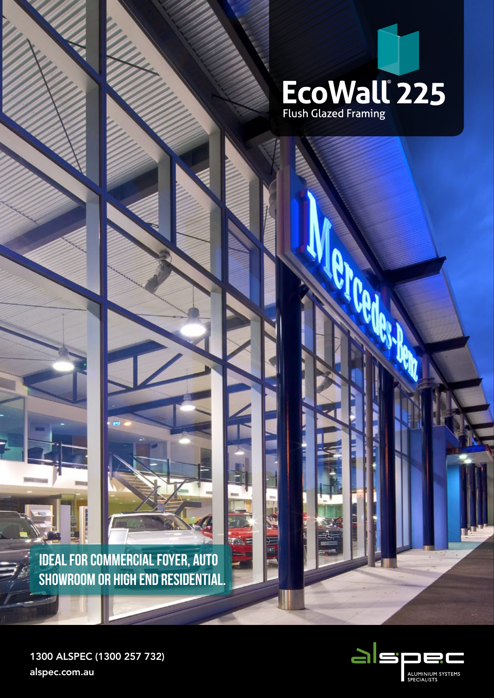

**PAGE** 

u t,

**INT** 

**IDEAL FOR COMMERCIAL FOYER, AUTO SHOWROOM OR HIGH END RESIDENTIAL.**